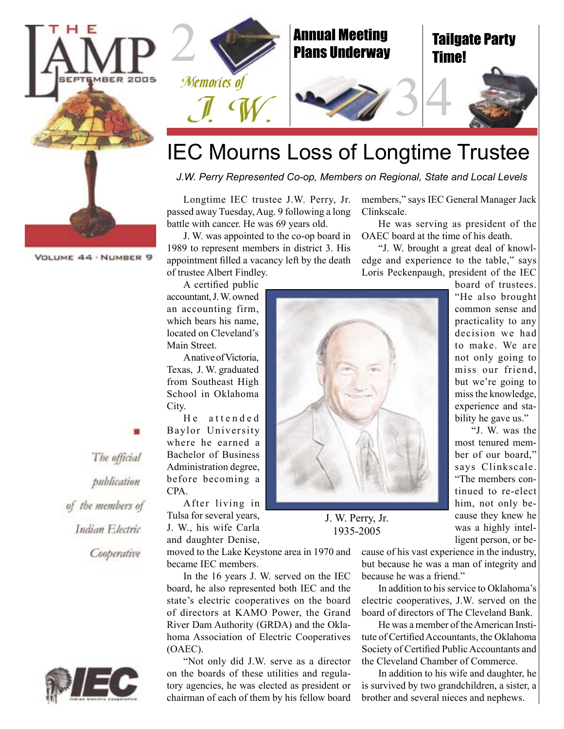

J. W. was appointed to the co-op board in 1989 to represent members in district 3. His appointment filled a vacancy left by the death of trustee Albert Findley.

A certified public accountant, J. W. owned an accounting firm, which bears his name, located on Cleveland's Main Street.

A native of Victoria, Texas, J. W. graduated from Southeast High School in Oklahoma City.

He attended Baylor University where he earned a Bachelor of Business Administration degree, before becoming a CPA.

After living in Tulsa for several years, J. W., his wife Carla and daughter Denise,

moved to the Lake Keystone area in 1970 and became IEC members.

In the 16 years J. W. served on the IEC board, he also represented both IEC and the state's electric cooperatives on the board of directors at KAMO Power, the Grand River Dam Authority (GRDA) and the Oklahoma Association of Electric Cooperatives (OAEC).

"Not only did J.W. serve as a director on the boards of these utilities and regulatory agencies, he was elected as president or chairman of each of them by his fellow board

members," says IEC General Manager Jack Clinkscale.

34

He was serving as president of the OAEC board at the time of his death.

"J. W. brought a great deal of knowledge and experience to the table," says Loris Peckenpaugh, president of the IEC

board of trustees. "He also brought common sense and practicality to any decision we had to make. We are not only going to miss our friend, but we're going to miss the knowledge, experience and stability he gave us."

"J. W. was the most tenured member of our board," says Clinkscale. "The members continued to re-elect him, not only because they knew he was a highly intelligent person, or be-

cause of his vast experience in the industry, but because he was a man of integrity and because he was a friend."

In addition to his service to Oklahoma's electric cooperatives, J.W. served on the board of directors of The Cleveland Bank.

He was a member of the American Institute of Certified Accountants, the Oklahoma Society of Certified Public Accountants and the Cleveland Chamber of Commerce.

In addition to his wife and daughter, he is survived by two grandchildren, a sister, a brother and several nieces and nephews.

The official publication of the members of Indian Electric Cooperative

VOLUME 44 . NUMBER 9







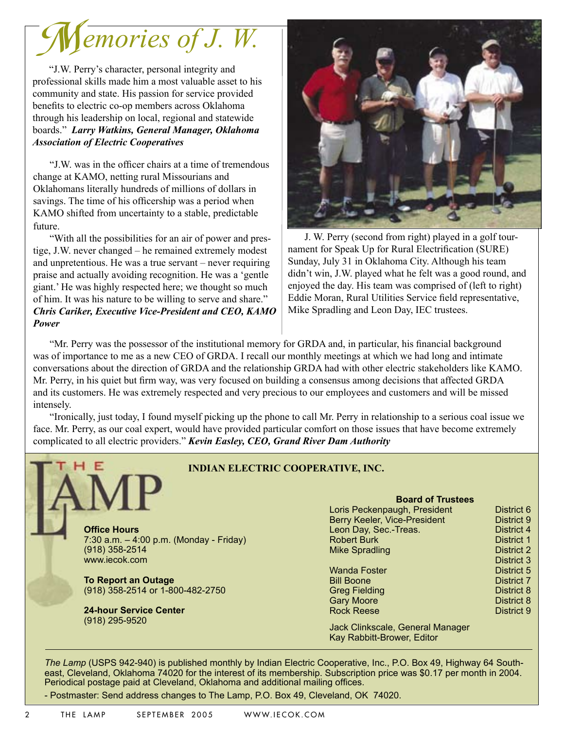*emories of J. W.* M

"J.W. Perry's character, personal integrity and professional skills made him a most valuable asset to his community and state. His passion for service provided benefits to electric co-op members across Oklahoma through his leadership on local, regional and statewide boards." *Larry Watkins, General Manager, Oklahoma Association of Electric Cooperatives*

"J.W. was in the officer chairs at a time of tremendous change at KAMO, netting rural Missourians and Oklahomans literally hundreds of millions of dollars in savings. The time of his officership was a period when KAMO shifted from uncertainty to a stable, predictable future.

"With all the possibilities for an air of power and prestige, J.W. never changed – he remained extremely modest and unpretentious. He was a true servant – never requiring praise and actually avoiding recognition. He was a 'gentle giant.' He was highly respected here; we thought so much of him. It was his nature to be willing to serve and share." *Chris Cariker, Executive Vice-President and CEO, KAMO Power*



J. W. Perry (second from right) played in a golf tournament for Speak Up for Rural Electrification (SURE) Sunday, July 31 in Oklahoma City. Although his team didn't win, J.W. played what he felt was a good round, and enjoyed the day. His team was comprised of (left to right) Eddie Moran, Rural Utilities Service field representative, Mike Spradling and Leon Day, IEC trustees.

"Mr. Perry was the possessor of the institutional memory for GRDA and, in particular, his financial background was of importance to me as a new CEO of GRDA. I recall our monthly meetings at which we had long and intimate conversations about the direction of GRDA and the relationship GRDA had with other electric stakeholders like KAMO. Mr. Perry, in his quiet but firm way, was very focused on building a consensus among decisions that affected GRDA and its customers. He was extremely respected and very precious to our employees and customers and will be missed intensely.

"Ironically, just today, I found myself picking up the phone to call Mr. Perry in relationship to a serious coal issue we face. Mr. Perry, as our coal expert, would have provided particular comfort on those issues that have become extremely complicated to all electric providers." *Kevin Easley, CEO, Grand River Dam Authority*

|  |                                           | <b>Board of Trustees</b>         |            |
|--|-------------------------------------------|----------------------------------|------------|
|  |                                           | Loris Peckenpaugh, President     | District 6 |
|  |                                           | Berry Keeler, Vice-President     | District 9 |
|  | <b>Office Hours</b>                       | Leon Day, Sec.-Treas.            | District 4 |
|  | 7:30 a.m. $-$ 4:00 p.m. (Monday - Friday) | <b>Robert Burk</b>               | District 1 |
|  | (918) 358-2514                            | <b>Mike Spradling</b>            | District 2 |
|  | www.iecok.com                             |                                  | District 3 |
|  |                                           | <b>Wanda Foster</b>              | District 5 |
|  | <b>To Report an Outage</b>                | <b>Bill Boone</b>                | District 7 |
|  | (918) 358-2514 or 1-800-482-2750          | <b>Greg Fielding</b>             | District 8 |
|  |                                           | <b>Gary Moore</b>                | District 8 |
|  | <b>24-hour Service Center</b>             | <b>Rock Reese</b>                | District 9 |
|  | (918) 295-9520                            |                                  |            |
|  |                                           | Jack Clinkscale, General Manager |            |
|  |                                           | Kay Rabbitt-Brower, Editor       |            |

- Postmaster: Send address changes to The Lamp, P.O. Box 49, Cleveland, OK 74020.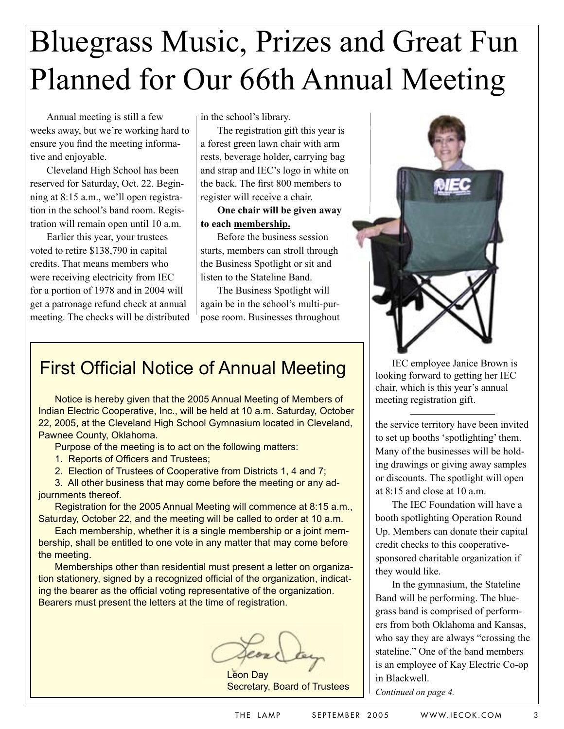# Bluegrass Music, Prizes and Great Fun Planned for Our 66th Annual Meeting

Annual meeting is still a few weeks away, but we're working hard to ensure you find the meeting informative and enjoyable.

Cleveland High School has been reserved for Saturday, Oct. 22. Beginning at 8:15 a.m., we'll open registration in the school's band room. Registration will remain open until 10 a.m.

Earlier this year, your trustees voted to retire \$138,790 in capital credits. That means members who were receiving electricity from IEC for a portion of 1978 and in 2004 will get a patronage refund check at annual meeting. The checks will be distributed in the school's library.

The registration gift this year is a forest green lawn chair with arm rests, beverage holder, carrying bag and strap and IEC's logo in white on the back. The first 800 members to register will receive a chair.

**One chair will be given away to each membership.**

Before the business session starts, members can stroll through the Business Spotlight or sit and listen to the Stateline Band.

The Business Spotlight will again be in the school's multi-purpose room. Businesses throughout

## First Official Notice of Annual Meeting

Notice is hereby given that the 2005 Annual Meeting of Members of Indian Electric Cooperative, Inc., will be held at 10 a.m. Saturday, October 22, 2005, at the Cleveland High School Gymnasium located in Cleveland, Pawnee County, Oklahoma.

Purpose of the meeting is to act on the following matters:

1. Reports of Officers and Trustees;

2. Election of Trustees of Cooperative from Districts 1, 4 and 7;

3. All other business that may come before the meeting or any adjournments thereof.

Registration for the 2005 Annual Meeting will commence at 8:15 a.m., Saturday, October 22, and the meeting will be called to order at 10 a.m.

Each membership, whether it is a single membership or a joint membership, shall be entitled to one vote in any matter that may come before the meeting.

Memberships other than residential must present a letter on organization stationery, signed by a recognized official of the organization, indicating the bearer as the official voting representative of the organization. Bearers must present the letters at the time of registration.

Leon Day Secretary, Board of Trustees



IEC employee Janice Brown is looking forward to getting her IEC chair, which is this year's annual meeting registration gift.

the service territory have been invited to set up booths 'spotlighting' them. Many of the businesses will be holding drawings or giving away samples or discounts. The spotlight will open at 8:15 and close at 10 a.m.

The IEC Foundation will have a booth spotlighting Operation Round Up. Members can donate their capital credit checks to this cooperativesponsored charitable organization if they would like.

In the gymnasium, the Stateline Band will be performing. The bluegrass band is comprised of performers from both Oklahoma and Kansas, who say they are always "crossing the stateline." One of the band members is an employee of Kay Electric Co-op in Blackwell.

*Continued on page 4.*